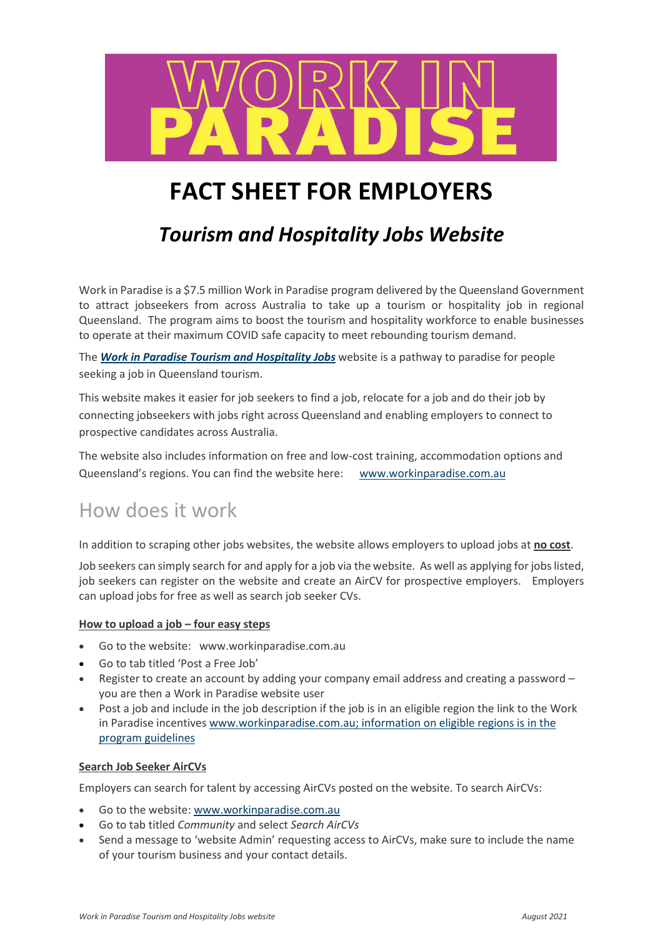

# **FACT SHEET FOR EMPLOYERS**

## *Tourism and Hospitality Jobs Website*

Work in Paradise is a \$7.5 million Work in Paradise program delivered by the Queensland Government to attract jobseekers from across Australia to take up a tourism or hospitality job in regional Queensland. The program aims to boost the tourism and hospitality workforce to enable businesses to operate at their maximum COVID safe capacity to meet rebounding tourism demand.

The *[Work in Paradise Tourism and Hospitality Jobs](https://www.workinparadise.com.au/)* website is a pathway to paradise for people seeking a job in Queensland tourism.

This website makes it easier for job seekers to find a job, relocate for a job and do their job by connecting jobseekers with jobs right across Queensland and enabling employers to connect to prospective candidates across Australia.

The website also includes information on free and low-cost training, accommodation options and Queensland's regions. You can find the website here: [www.workinparadise.com.au](http://www.workinparadise.com.au/)

### How does it work

In addition to scraping other jobs websites, the website allows employers to upload jobs at **no cost**.

Job seekers can simply search for and apply for a job via the website. As well as applying for jobs listed, job seekers can register on the website and create an AirCV for prospective employers. Employers can upload jobs for free as well as search job seeker CVs.

### **How to upload a job – four easy steps**

- Go to the website: [www.workinparadise.com.au](http://www.workinparadise.com.au/)
- Go to tab titled 'Post a Free Job'
- Register to create an account by adding your company email address and creating a password you are then a Work in Paradise website user
- Post a job and include in the job description if the job is in an eligible region the link to the Work in Paradise incentives [www.workinparadise.com.au;](http://www.workinparadise.com.au/) information on eligible regions is in the program [guidelines](https://www.workinparadise.initiatives.qld.gov.au/cash-incentives)

### **Search Job Seeker AirCVs**

Employers can search for talent by accessing AirCVs posted on the website. To search AirCVs:

- Go to the website: [www.workinparadise.com.au](http://www.workinparadise.com.au/)
- Go to tab titled *Community* and select *Search AirCVs*
- Send a message to 'website Admin' requesting access to AirCVs, make sure to include the name of your tourism business and your contact details.